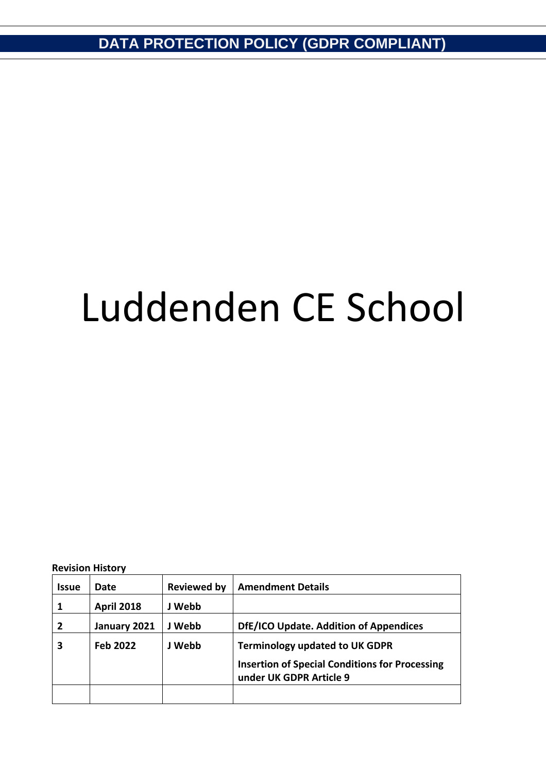# Luddenden CE School

**Revision History**

| <b>Issue</b>   | Date              | <b>Reviewed by</b> | <b>Amendment Details</b>                                                         |
|----------------|-------------------|--------------------|----------------------------------------------------------------------------------|
|                | <b>April 2018</b> | J Webb             |                                                                                  |
| $\overline{2}$ | January 2021      | J Webb             | DfE/ICO Update. Addition of Appendices                                           |
| 3              | Feb 2022          | J Webb             | <b>Terminology updated to UK GDPR</b>                                            |
|                |                   |                    | <b>Insertion of Special Conditions for Processing</b><br>under UK GDPR Article 9 |
|                |                   |                    |                                                                                  |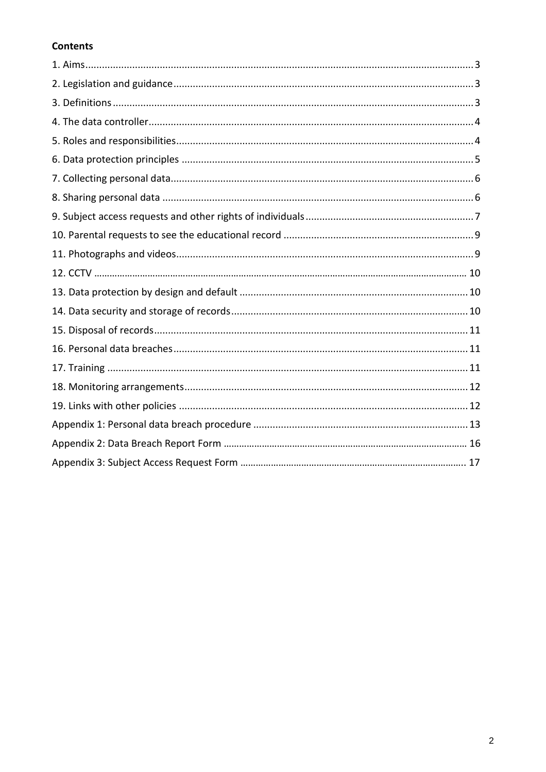# **Contents**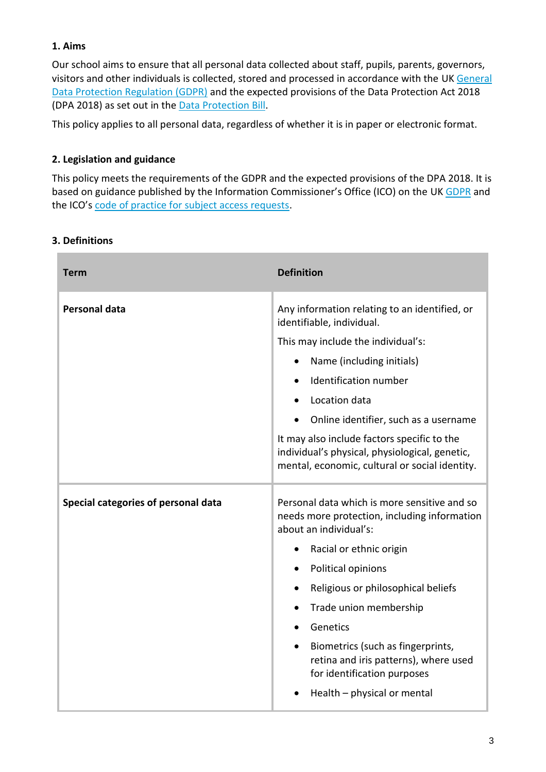#### **1. Aims**

Our school aims to ensure that all personal data collected about staff, pupils, parents, governors, visitors and other individuals is collected, stored and processed in accordance with the UK [General](http://data.consilium.europa.eu/doc/document/ST-5419-2016-INIT/en/pdf)  [Data Protection Regulation \(GDPR\)](http://data.consilium.europa.eu/doc/document/ST-5419-2016-INIT/en/pdf) and the expected provisions of the Data Protection Act 2018 (DPA 2018) as set out in the [Data Protection Bill.](https://publications.parliament.uk/pa/bills/cbill/2017-2019/0153/18153.pdf)

This policy applies to all personal data, regardless of whether it is in paper or electronic format.

#### **2. Legislation and guidance**

This policy meets the requirements of the GDPR and the expected provisions of the DPA 2018. It is based on guidance published by the Information Commissioner's Office (ICO) on the U[K GDPR](https://ico.org.uk/for-organisations/guide-to-the-general-data-protection-regulation-gdpr/individual-rights/right-to-be-informed/) and the ICO's [code of practice for subject access requests.](https://ico.org.uk/media/for-organisations/documents/2014223/subject-access-code-of-practice.pdf)

#### **3. Definitions**

| <b>Term</b>                         | <b>Definition</b>                                                                                                                               |
|-------------------------------------|-------------------------------------------------------------------------------------------------------------------------------------------------|
| <b>Personal data</b>                | Any information relating to an identified, or<br>identifiable, individual.                                                                      |
|                                     | This may include the individual's:                                                                                                              |
|                                     | Name (including initials)                                                                                                                       |
|                                     | Identification number                                                                                                                           |
|                                     | Location data                                                                                                                                   |
|                                     | Online identifier, such as a username                                                                                                           |
|                                     | It may also include factors specific to the<br>individual's physical, physiological, genetic,<br>mental, economic, cultural or social identity. |
| Special categories of personal data | Personal data which is more sensitive and so<br>needs more protection, including information<br>about an individual's:                          |
|                                     | Racial or ethnic origin                                                                                                                         |
|                                     | Political opinions                                                                                                                              |
|                                     | Religious or philosophical beliefs                                                                                                              |
|                                     | Trade union membership                                                                                                                          |
|                                     | Genetics                                                                                                                                        |
|                                     | Biometrics (such as fingerprints,<br>retina and iris patterns), where used<br>for identification purposes                                       |
|                                     | Health - physical or mental                                                                                                                     |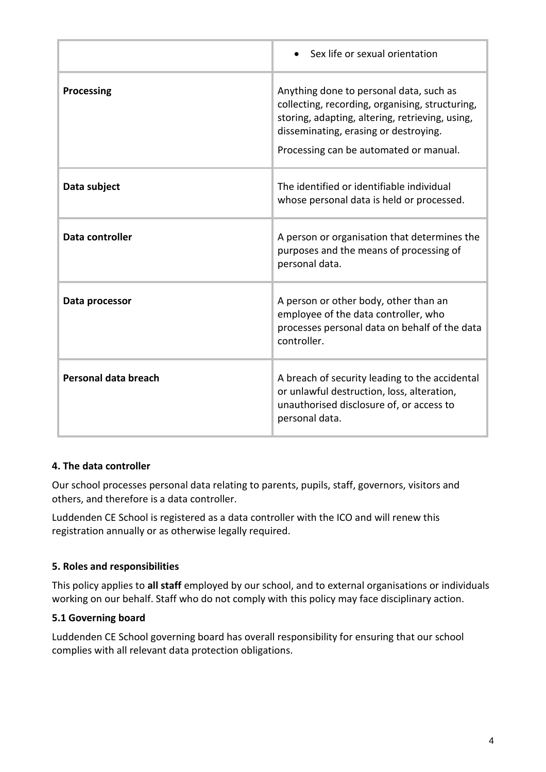|                      | Sex life or sexual orientation                                                                                                                                                                                                   |
|----------------------|----------------------------------------------------------------------------------------------------------------------------------------------------------------------------------------------------------------------------------|
| Processing           | Anything done to personal data, such as<br>collecting, recording, organising, structuring,<br>storing, adapting, altering, retrieving, using,<br>disseminating, erasing or destroying.<br>Processing can be automated or manual. |
| Data subject         | The identified or identifiable individual<br>whose personal data is held or processed.                                                                                                                                           |
| Data controller      | A person or organisation that determines the<br>purposes and the means of processing of<br>personal data.                                                                                                                        |
| Data processor       | A person or other body, other than an<br>employee of the data controller, who<br>processes personal data on behalf of the data<br>controller.                                                                                    |
| Personal data breach | A breach of security leading to the accidental<br>or unlawful destruction, loss, alteration,<br>unauthorised disclosure of, or access to<br>personal data.                                                                       |

#### **4. The data controller**

Our school processes personal data relating to parents, pupils, staff, governors, visitors and others, and therefore is a data controller.

Luddenden CE School is registered as a data controller with the ICO and will renew this registration annually or as otherwise legally required.

# **5. Roles and responsibilities**

This policy applies to **all staff** employed by our school, and to external organisations or individuals working on our behalf. Staff who do not comply with this policy may face disciplinary action.

#### **5.1 Governing board**

Luddenden CE School governing board has overall responsibility for ensuring that our school complies with all relevant data protection obligations.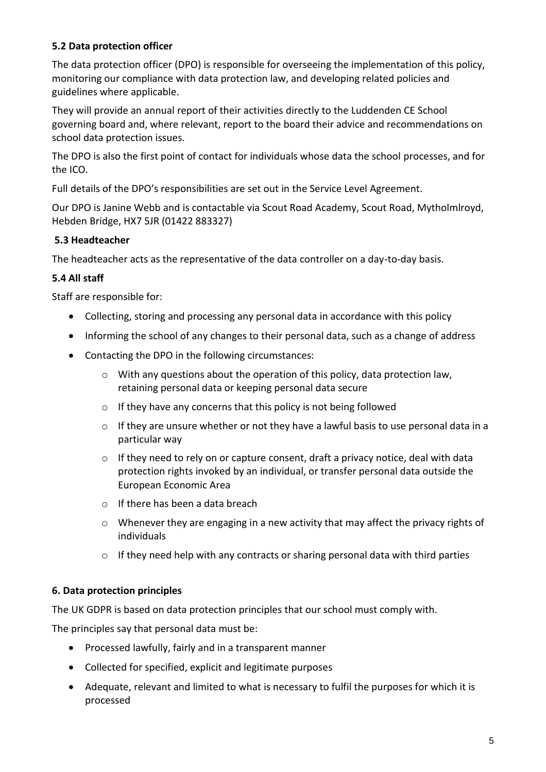#### **5.2 Data protection officer**

The data protection officer (DPO) is responsible for overseeing the implementation of this policy, monitoring our compliance with data protection law, and developing related policies and guidelines where applicable.

They will provide an annual report of their activities directly to the Luddenden CE School governing board and, where relevant, report to the board their advice and recommendations on school data protection issues.

The DPO is also the first point of contact for individuals whose data the school processes, and for the ICO.

Full details of the DPO's responsibilities are set out in the Service Level Agreement.

Our DPO is Janine Webb and is contactable via Scout Road Academy, Scout Road, Mytholmlroyd, Hebden Bridge, HX7 5JR (01422 883327)

#### **5.3 Headteacher**

The headteacher acts as the representative of the data controller on a day-to-day basis.

#### **5.4 All staff**

Staff are responsible for:

- Collecting, storing and processing any personal data in accordance with this policy
- Informing the school of any changes to their personal data, such as a change of address
- Contacting the DPO in the following circumstances:
	- $\circ$  With any questions about the operation of this policy, data protection law, retaining personal data or keeping personal data secure
	- $\circ$  If they have any concerns that this policy is not being followed
	- o If they are unsure whether or not they have a lawful basis to use personal data in a particular way
	- $\circ$  If they need to rely on or capture consent, draft a privacy notice, deal with data protection rights invoked by an individual, or transfer personal data outside the European Economic Area
	- o If there has been a data breach
	- $\circ$  Whenever they are engaging in a new activity that may affect the privacy rights of individuals
	- $\circ$  If they need help with any contracts or sharing personal data with third parties

#### **6. Data protection principles**

The UK GDPR is based on data protection principles that our school must comply with.

The principles say that personal data must be:

- Processed lawfully, fairly and in a transparent manner
- Collected for specified, explicit and legitimate purposes
- Adequate, relevant and limited to what is necessary to fulfil the purposes for which it is processed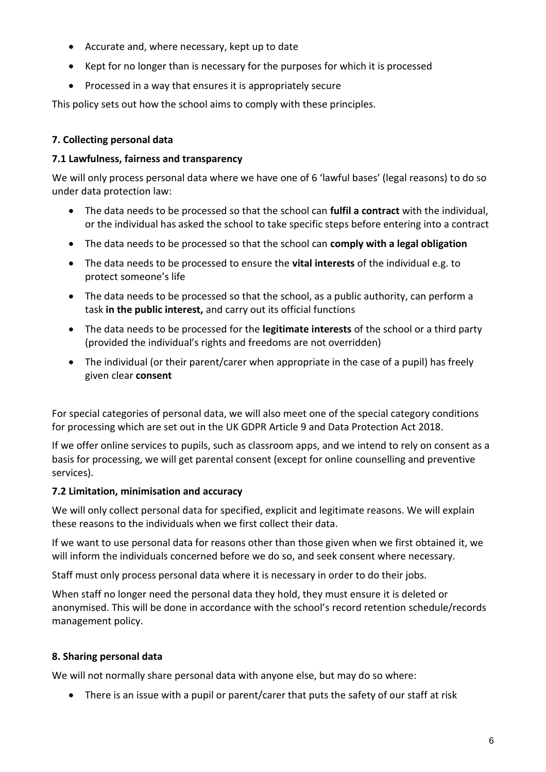- Accurate and, where necessary, kept up to date
- Kept for no longer than is necessary for the purposes for which it is processed
- Processed in a way that ensures it is appropriately secure

This policy sets out how the school aims to comply with these principles.

#### **7. Collecting personal data**

#### **7.1 Lawfulness, fairness and transparency**

We will only process personal data where we have one of 6 'lawful bases' (legal reasons) to do so under data protection law:

- The data needs to be processed so that the school can **fulfil a contract** with the individual, or the individual has asked the school to take specific steps before entering into a contract
- The data needs to be processed so that the school can **comply with a legal obligation**
- The data needs to be processed to ensure the **vital interests** of the individual e.g. to protect someone's life
- The data needs to be processed so that the school, as a public authority, can perform a task **in the public interest,** and carry out its official functions
- The data needs to be processed for the **legitimate interests** of the school or a third party (provided the individual's rights and freedoms are not overridden)
- The individual (or their parent/carer when appropriate in the case of a pupil) has freely given clear **consent**

For special categories of personal data, we will also meet one of the special category conditions for processing which are set out in the UK GDPR Article 9 and Data Protection Act 2018.

If we offer online services to pupils, such as classroom apps, and we intend to rely on consent as a basis for processing, we will get parental consent (except for online counselling and preventive services).

#### **7.2 Limitation, minimisation and accuracy**

We will only collect personal data for specified, explicit and legitimate reasons. We will explain these reasons to the individuals when we first collect their data.

If we want to use personal data for reasons other than those given when we first obtained it, we will inform the individuals concerned before we do so, and seek consent where necessary.

Staff must only process personal data where it is necessary in order to do their jobs.

When staff no longer need the personal data they hold, they must ensure it is deleted or anonymised. This will be done in accordance with the school's record retention schedule/records management policy.

#### **8. Sharing personal data**

We will not normally share personal data with anyone else, but may do so where:

• There is an issue with a pupil or parent/carer that puts the safety of our staff at risk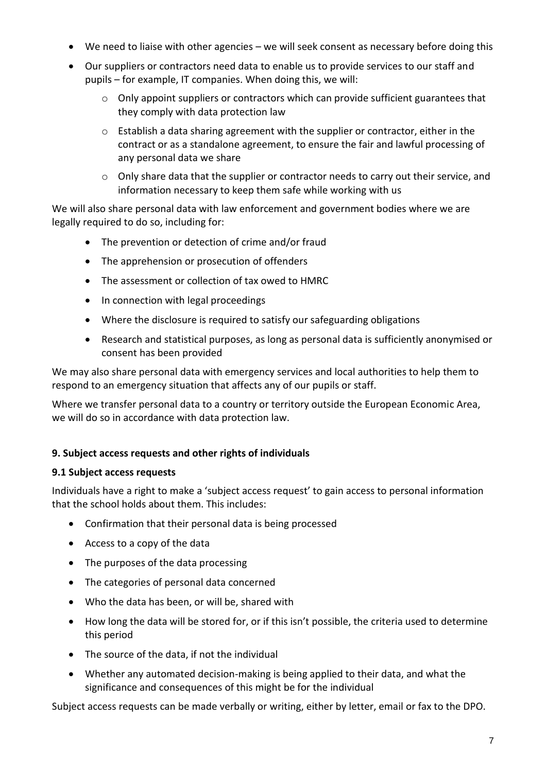- We need to liaise with other agencies we will seek consent as necessary before doing this
- Our suppliers or contractors need data to enable us to provide services to our staff and pupils – for example, IT companies. When doing this, we will:
	- $\circ$  Only appoint suppliers or contractors which can provide sufficient guarantees that they comply with data protection law
	- $\circ$  Establish a data sharing agreement with the supplier or contractor, either in the contract or as a standalone agreement, to ensure the fair and lawful processing of any personal data we share
	- $\circ$  Only share data that the supplier or contractor needs to carry out their service, and information necessary to keep them safe while working with us

We will also share personal data with law enforcement and government bodies where we are legally required to do so, including for:

- The prevention or detection of crime and/or fraud
- The apprehension or prosecution of offenders
- The assessment or collection of tax owed to HMRC
- In connection with legal proceedings
- Where the disclosure is required to satisfy our safeguarding obligations
- Research and statistical purposes, as long as personal data is sufficiently anonymised or consent has been provided

We may also share personal data with emergency services and local authorities to help them to respond to an emergency situation that affects any of our pupils or staff.

Where we transfer personal data to a country or territory outside the European Economic Area, we will do so in accordance with data protection law.

#### **9. Subject access requests and other rights of individuals**

#### **9.1 Subject access requests**

Individuals have a right to make a 'subject access request' to gain access to personal information that the school holds about them. This includes:

- Confirmation that their personal data is being processed
- Access to a copy of the data
- The purposes of the data processing
- The categories of personal data concerned
- Who the data has been, or will be, shared with
- How long the data will be stored for, or if this isn't possible, the criteria used to determine this period
- The source of the data, if not the individual
- Whether any automated decision-making is being applied to their data, and what the significance and consequences of this might be for the individual

Subject access requests can be made verbally or writing, either by letter, email or fax to the DPO.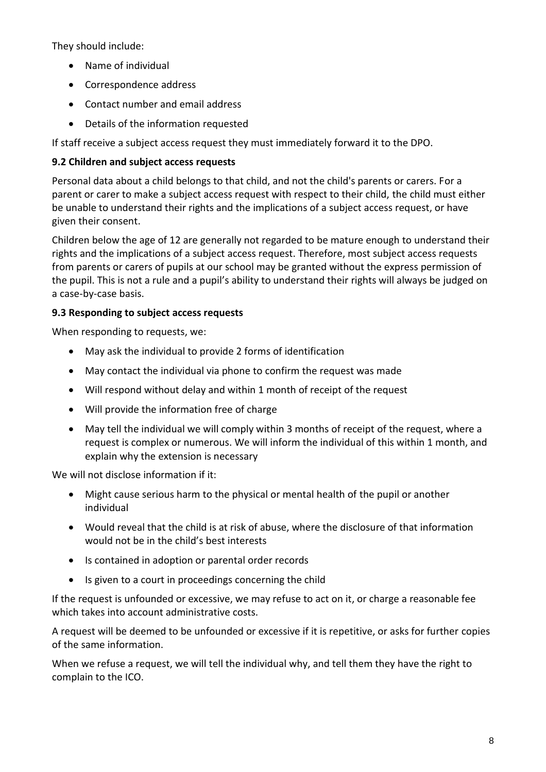They should include:

- Name of individual
- Correspondence address
- Contact number and email address
- Details of the information requested

If staff receive a subject access request they must immediately forward it to the DPO.

# **9.2 Children and subject access requests**

Personal data about a child belongs to that child, and not the child's parents or carers. For a parent or carer to make a subject access request with respect to their child, the child must either be unable to understand their rights and the implications of a subject access request, or have given their consent.

Children below the age of 12 are generally not regarded to be mature enough to understand their rights and the implications of a subject access request. Therefore, most subject access requests from parents or carers of pupils at our school may be granted without the express permission of the pupil. This is not a rule and a pupil's ability to understand their rights will always be judged on a case-by-case basis.

# **9.3 Responding to subject access requests**

When responding to requests, we:

- May ask the individual to provide 2 forms of identification
- May contact the individual via phone to confirm the request was made
- Will respond without delay and within 1 month of receipt of the request
- Will provide the information free of charge
- May tell the individual we will comply within 3 months of receipt of the request, where a request is complex or numerous. We will inform the individual of this within 1 month, and explain why the extension is necessary

We will not disclose information if it:

- Might cause serious harm to the physical or mental health of the pupil or another individual
- Would reveal that the child is at risk of abuse, where the disclosure of that information would not be in the child's best interests
- Is contained in adoption or parental order records
- Is given to a court in proceedings concerning the child

If the request is unfounded or excessive, we may refuse to act on it, or charge a reasonable fee which takes into account administrative costs.

A request will be deemed to be unfounded or excessive if it is repetitive, or asks for further copies of the same information.

When we refuse a request, we will tell the individual why, and tell them they have the right to complain to the ICO.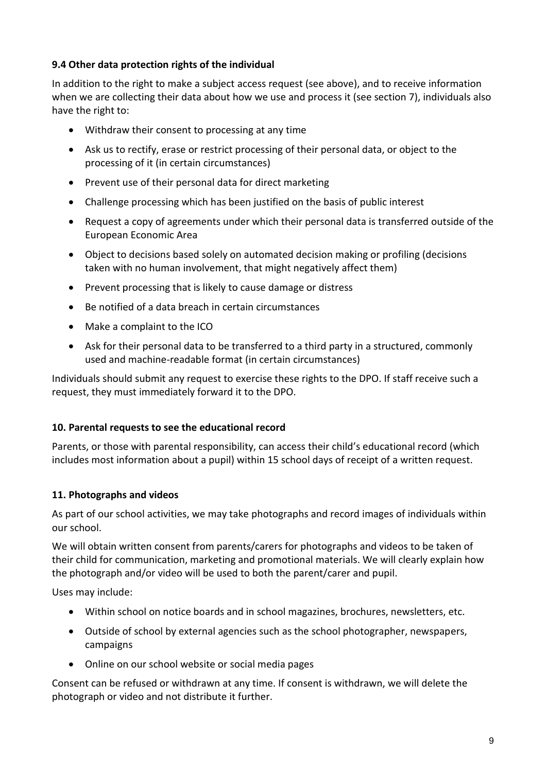#### **9.4 Other data protection rights of the individual**

In addition to the right to make a subject access request (see above), and to receive information when we are collecting their data about how we use and process it (see section 7), individuals also have the right to:

- Withdraw their consent to processing at any time
- Ask us to rectify, erase or restrict processing of their personal data, or object to the processing of it (in certain circumstances)
- Prevent use of their personal data for direct marketing
- Challenge processing which has been justified on the basis of public interest
- Request a copy of agreements under which their personal data is transferred outside of the European Economic Area
- Object to decisions based solely on automated decision making or profiling (decisions taken with no human involvement, that might negatively affect them)
- Prevent processing that is likely to cause damage or distress
- Be notified of a data breach in certain circumstances
- Make a complaint to the ICO
- Ask for their personal data to be transferred to a third party in a structured, commonly used and machine-readable format (in certain circumstances)

Individuals should submit any request to exercise these rights to the DPO. If staff receive such a request, they must immediately forward it to the DPO.

#### **10. Parental requests to see the educational record**

Parents, or those with parental responsibility, can access their child's educational record (which includes most information about a pupil) within 15 school days of receipt of a written request.

#### **11. Photographs and videos**

As part of our school activities, we may take photographs and record images of individuals within our school.

We will obtain written consent from parents/carers for photographs and videos to be taken of their child for communication, marketing and promotional materials. We will clearly explain how the photograph and/or video will be used to both the parent/carer and pupil.

Uses may include:

- Within school on notice boards and in school magazines, brochures, newsletters, etc.
- Outside of school by external agencies such as the school photographer, newspapers, campaigns
- Online on our school website or social media pages

Consent can be refused or withdrawn at any time. If consent is withdrawn, we will delete the photograph or video and not distribute it further.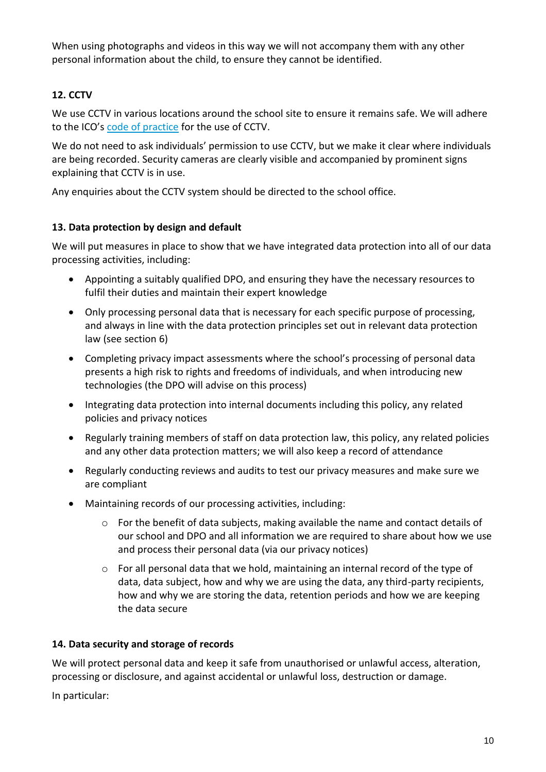When using photographs and videos in this way we will not accompany them with any other personal information about the child, to ensure they cannot be identified.

# **12. CCTV**

We use CCTV in various locations around the school site to ensure it remains safe. We will adhere to the ICO's [code of practice](https://ico.org.uk/media/for-organisations/documents/1542/cctv-code-of-practice.pdf) for the use of CCTV.

We do not need to ask individuals' permission to use CCTV, but we make it clear where individuals are being recorded. Security cameras are clearly visible and accompanied by prominent signs explaining that CCTV is in use.

Any enquiries about the CCTV system should be directed to the school office.

#### **13. Data protection by design and default**

We will put measures in place to show that we have integrated data protection into all of our data processing activities, including:

- Appointing a suitably qualified DPO, and ensuring they have the necessary resources to fulfil their duties and maintain their expert knowledge
- Only processing personal data that is necessary for each specific purpose of processing, and always in line with the data protection principles set out in relevant data protection law (see section 6)
- Completing privacy impact assessments where the school's processing of personal data presents a high risk to rights and freedoms of individuals, and when introducing new technologies (the DPO will advise on this process)
- Integrating data protection into internal documents including this policy, any related policies and privacy notices
- Regularly training members of staff on data protection law, this policy, any related policies and any other data protection matters; we will also keep a record of attendance
- Regularly conducting reviews and audits to test our privacy measures and make sure we are compliant
- Maintaining records of our processing activities, including:
	- $\circ$  For the benefit of data subjects, making available the name and contact details of our school and DPO and all information we are required to share about how we use and process their personal data (via our privacy notices)
	- $\circ$  For all personal data that we hold, maintaining an internal record of the type of data, data subject, how and why we are using the data, any third-party recipients, how and why we are storing the data, retention periods and how we are keeping the data secure

#### **14. Data security and storage of records**

We will protect personal data and keep it safe from unauthorised or unlawful access, alteration, processing or disclosure, and against accidental or unlawful loss, destruction or damage.

In particular: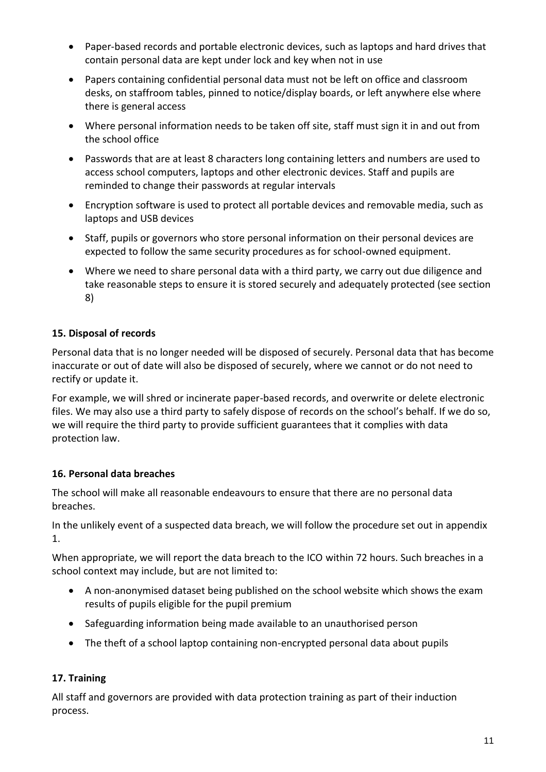- Paper-based records and portable electronic devices, such as laptops and hard drives that contain personal data are kept under lock and key when not in use
- Papers containing confidential personal data must not be left on office and classroom desks, on staffroom tables, pinned to notice/display boards, or left anywhere else where there is general access
- Where personal information needs to be taken off site, staff must sign it in and out from the school office
- Passwords that are at least 8 characters long containing letters and numbers are used to access school computers, laptops and other electronic devices. Staff and pupils are reminded to change their passwords at regular intervals
- Encryption software is used to protect all portable devices and removable media, such as laptops and USB devices
- Staff, pupils or governors who store personal information on their personal devices are expected to follow the same security procedures as for school-owned equipment.
- Where we need to share personal data with a third party, we carry out due diligence and take reasonable steps to ensure it is stored securely and adequately protected (see section 8)

# **15. Disposal of records**

Personal data that is no longer needed will be disposed of securely. Personal data that has become inaccurate or out of date will also be disposed of securely, where we cannot or do not need to rectify or update it.

For example, we will shred or incinerate paper-based records, and overwrite or delete electronic files. We may also use a third party to safely dispose of records on the school's behalf. If we do so, we will require the third party to provide sufficient guarantees that it complies with data protection law.

# **16. Personal data breaches**

The school will make all reasonable endeavours to ensure that there are no personal data breaches.

In the unlikely event of a suspected data breach, we will follow the procedure set out in appendix 1.

When appropriate, we will report the data breach to the ICO within 72 hours. Such breaches in a school context may include, but are not limited to:

- A non-anonymised dataset being published on the school website which shows the exam results of pupils eligible for the pupil premium
- Safeguarding information being made available to an unauthorised person
- The theft of a school laptop containing non-encrypted personal data about pupils

# **17. Training**

All staff and governors are provided with data protection training as part of their induction process.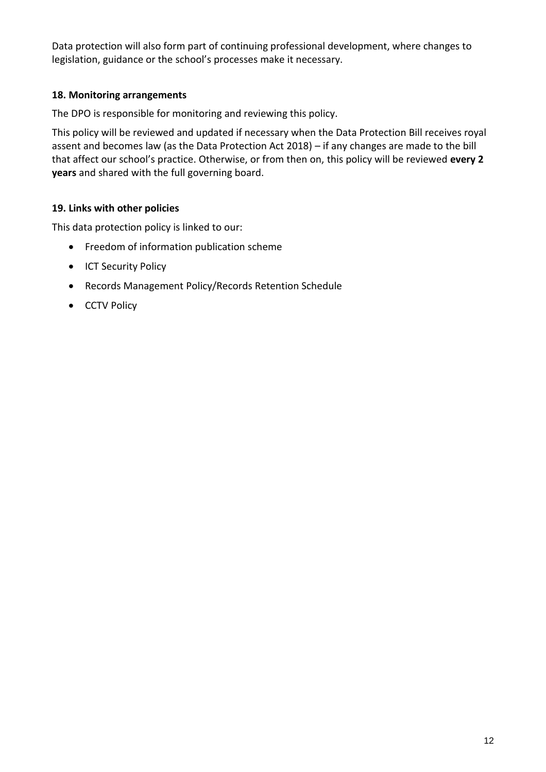Data protection will also form part of continuing professional development, where changes to legislation, guidance or the school's processes make it necessary.

#### **18. Monitoring arrangements**

The DPO is responsible for monitoring and reviewing this policy.

This policy will be reviewed and updated if necessary when the Data Protection Bill receives royal assent and becomes law (as the Data Protection Act 2018) – if any changes are made to the bill that affect our school's practice. Otherwise, or from then on, this policy will be reviewed **every 2 years** and shared with the full governing board.

#### **19. Links with other policies**

This data protection policy is linked to our:

- Freedom of information publication scheme
- ICT Security Policy
- Records Management Policy/Records Retention Schedule
- CCTV Policy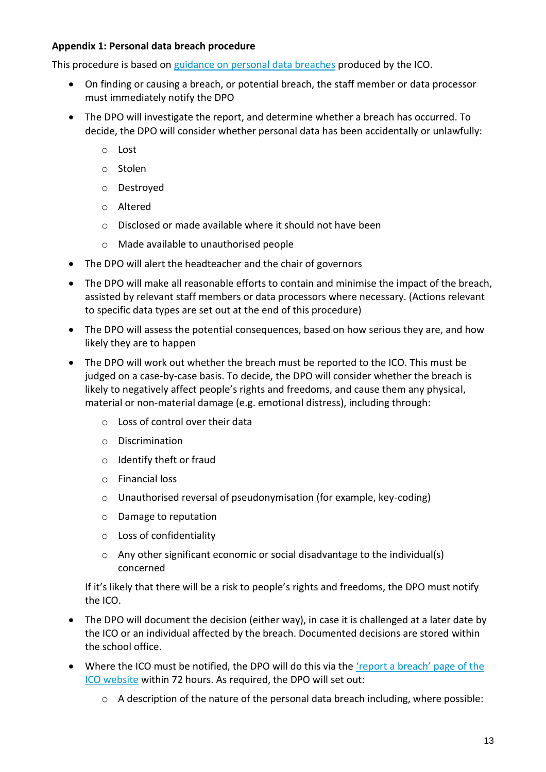#### **Appendix 1: Personal data breach procedure**

This procedure is based on [guidance on personal data breaches](https://ico.org.uk/for-organisations/guide-to-the-general-data-protection-regulation-gdpr/personal-data-breaches/) produced by the ICO.

- On finding or causing a breach, or potential breach, the staff member or data processor must immediately notify the DPO
- The DPO will investigate the report, and determine whether a breach has occurred. To decide, the DPO will consider whether personal data has been accidentally or unlawfully:
	- o Lost
	- o Stolen
	- o Destroyed
	- o Altered
	- o Disclosed or made available where it should not have been
	- o Made available to unauthorised people
- The DPO will alert the headteacher and the chair of governors
- The DPO will make all reasonable efforts to contain and minimise the impact of the breach, assisted by relevant staff members or data processors where necessary. (Actions relevant to specific data types are set out at the end of this procedure)
- The DPO will assess the potential consequences, based on how serious they are, and how likely they are to happen
- The DPO will work out whether the breach must be reported to the ICO. This must be judged on a case-by-case basis. To decide, the DPO will consider whether the breach is likely to negatively affect people's rights and freedoms, and cause them any physical, material or non-material damage (e.g. emotional distress), including through:
	- o Loss of control over their data
	- o Discrimination
	- o Identify theft or fraud
	- o Financial loss
	- o Unauthorised reversal of pseudonymisation (for example, key-coding)
	- o Damage to reputation
	- o Loss of confidentiality
	- $\circ$  Any other significant economic or social disadvantage to the individual(s) concerned

If it's likely that there will be a risk to people's rights and freedoms, the DPO must notify the ICO.

- The DPO will document the decision (either way), in case it is challenged at a later date by the ICO or an individual affected by the breach. Documented decisions are stored within the school office.
- Where the ICO must be notified, the DPO will do this via the 'report a breach' page of the [ICO website](https://ico.org.uk/for-organisations/report-a-breach/) within 72 hours. As required, the DPO will set out:
	- o A description of the nature of the personal data breach including, where possible: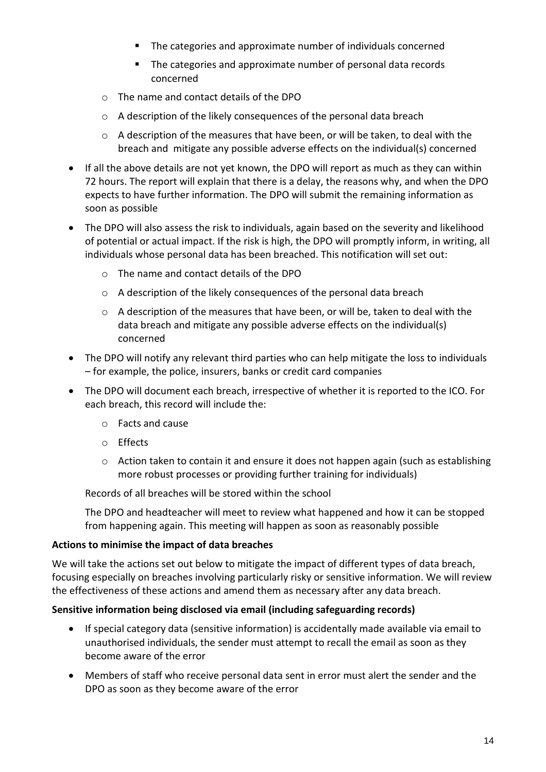- The categories and approximate number of individuals concerned
- The categories and approximate number of personal data records concerned
- o The name and contact details of the DPO
- o A description of the likely consequences of the personal data breach
- o A description of the measures that have been, or will be taken, to deal with the breach and mitigate any possible adverse effects on the individual(s) concerned
- If all the above details are not yet known, the DPO will report as much as they can within 72 hours. The report will explain that there is a delay, the reasons why, and when the DPO expects to have further information. The DPO will submit the remaining information as soon as possible
- The DPO will also assess the risk to individuals, again based on the severity and likelihood of potential or actual impact. If the risk is high, the DPO will promptly inform, in writing, all individuals whose personal data has been breached. This notification will set out:
	- o The name and contact details of the DPO
	- o A description of the likely consequences of the personal data breach
	- $\circ$  A description of the measures that have been, or will be, taken to deal with the data breach and mitigate any possible adverse effects on the individual(s) concerned
- The DPO will notify any relevant third parties who can help mitigate the loss to individuals – for example, the police, insurers, banks or credit card companies
- The DPO will document each breach, irrespective of whether it is reported to the ICO. For each breach, this record will include the:
	- o Facts and cause
	- o Effects
	- o Action taken to contain it and ensure it does not happen again (such as establishing more robust processes or providing further training for individuals)

Records of all breaches will be stored within the school

The DPO and headteacher will meet to review what happened and how it can be stopped from happening again. This meeting will happen as soon as reasonably possible

#### **Actions to minimise the impact of data breaches**

We will take the actions set out below to mitigate the impact of different types of data breach, focusing especially on breaches involving particularly risky or sensitive information. We will review the effectiveness of these actions and amend them as necessary after any data breach.

#### **Sensitive information being disclosed via email (including safeguarding records)**

- If special category data (sensitive information) is accidentally made available via email to unauthorised individuals, the sender must attempt to recall the email as soon as they become aware of the error
- Members of staff who receive personal data sent in error must alert the sender and the DPO as soon as they become aware of the error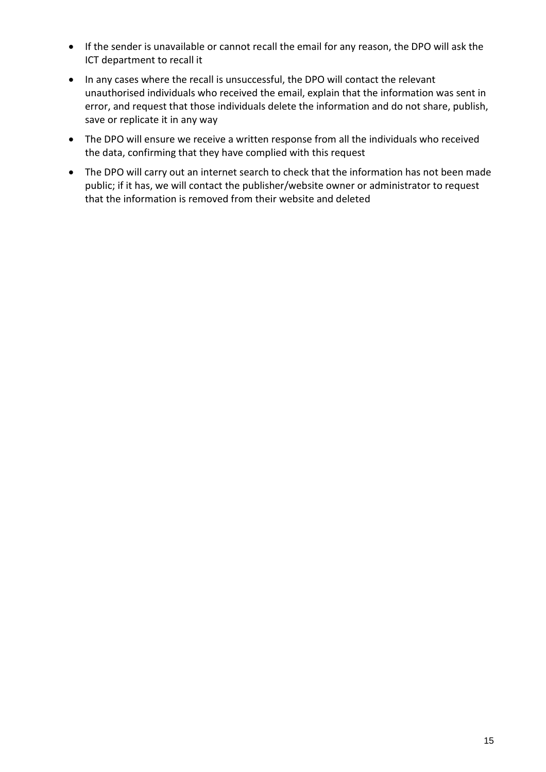- If the sender is unavailable or cannot recall the email for any reason, the DPO will ask the ICT department to recall it
- In any cases where the recall is unsuccessful, the DPO will contact the relevant unauthorised individuals who received the email, explain that the information was sent in error, and request that those individuals delete the information and do not share, publish, save or replicate it in any way
- The DPO will ensure we receive a written response from all the individuals who received the data, confirming that they have complied with this request
- The DPO will carry out an internet search to check that the information has not been made public; if it has, we will contact the publisher/website owner or administrator to request that the information is removed from their website and deleted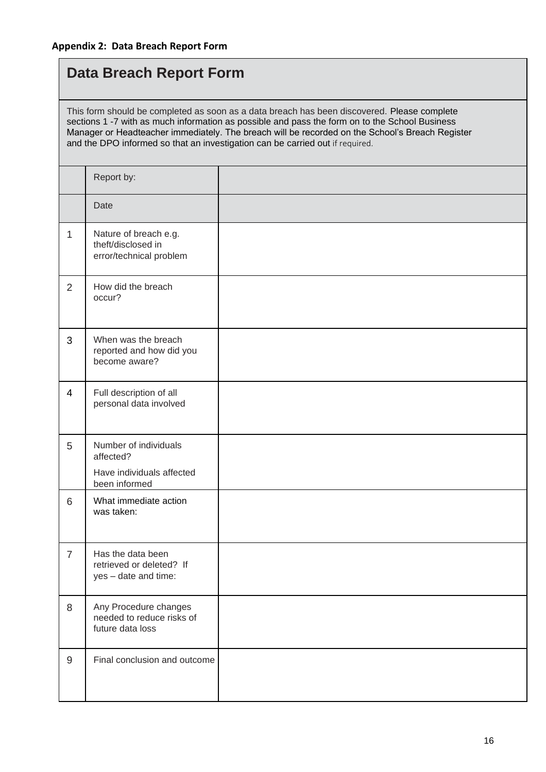# **Data Breach Report Form**

This form should be completed as soon as a data breach has been discovered. Please complete sections 1 -7 with as much information as possible and pass the form on to the School Business Manager or Headteacher immediately. The breach will be recorded on the School's Breach Register and the DPO informed so that an investigation can be carried out if required.

|                  | Report by:                                                             |  |
|------------------|------------------------------------------------------------------------|--|
|                  | Date                                                                   |  |
| $\mathbf{1}$     | Nature of breach e.g.<br>theft/disclosed in<br>error/technical problem |  |
| 2                | How did the breach<br>occur?                                           |  |
| 3                | When was the breach<br>reported and how did you<br>become aware?       |  |
| $\overline{4}$   | Full description of all<br>personal data involved                      |  |
| 5                | Number of individuals<br>affected?<br>Have individuals affected        |  |
| 6                | been informed<br>What immediate action<br>was taken:                   |  |
| $\overline{7}$   | Has the data been<br>retrieved or deleted? If<br>yes - date and time:  |  |
| 8                | Any Procedure changes<br>needed to reduce risks of<br>future data loss |  |
| $\boldsymbol{9}$ | Final conclusion and outcome                                           |  |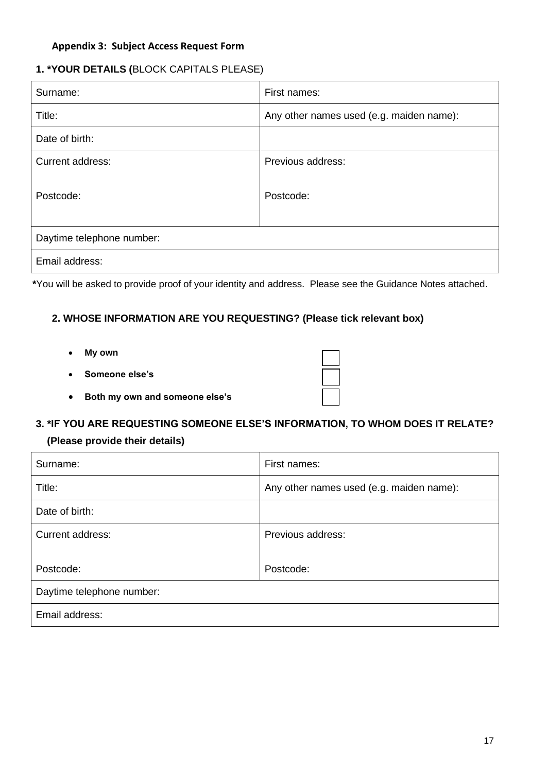#### **Appendix 3: Subject Access Request Form**

# **1. \*YOUR DETAILS (**BLOCK CAPITALS PLEASE)

| Surname:                  | First names:                             |  |
|---------------------------|------------------------------------------|--|
| Title:                    | Any other names used (e.g. maiden name): |  |
| Date of birth:            |                                          |  |
| <b>Current address:</b>   | Previous address:                        |  |
| Postcode:                 | Postcode:                                |  |
| Daytime telephone number: |                                          |  |
| Email address:            |                                          |  |

**\***You will be asked to provide proof of your identity and address. Please see the Guidance Notes attached.

# **2. WHOSE INFORMATION ARE YOU REQUESTING? (Please tick relevant box)**

- **My own**
- **Someone else's**
- **Both my own and someone else's**

#### **3. \*IF YOU ARE REQUESTING SOMEONE ELSE'S INFORMATION, TO WHOM DOES IT RELATE?**

#### **(Please provide their details)**

| Surname:                  | First names:                             |  |
|---------------------------|------------------------------------------|--|
| Title:                    | Any other names used (e.g. maiden name): |  |
| Date of birth:            |                                          |  |
| Current address:          | Previous address:                        |  |
|                           |                                          |  |
| Postcode:                 | Postcode:                                |  |
| Daytime telephone number: |                                          |  |
| Email address:            |                                          |  |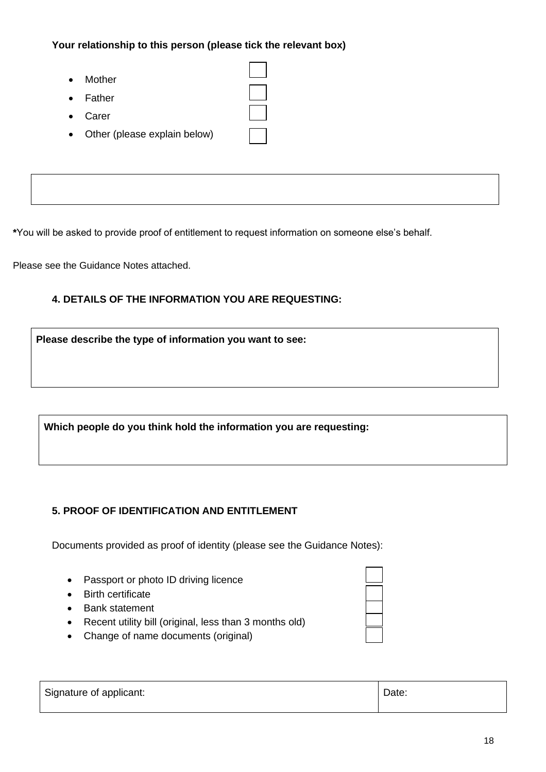**Your relationship to this person (please tick the relevant box)**

- Mother
- Father
- Carer
- Other (please explain below)

**\***You will be asked to provide proof of entitlement to request information on someone else's behalf.

Please see the Guidance Notes attached.

# **4. DETAILS OF THE INFORMATION YOU ARE REQUESTING:**

**Please describe the type of information you want to see:**

**Which people do you think hold the information you are requesting:**

# **5. PROOF OF IDENTIFICATION AND ENTITLEMENT**

Documents provided as proof of identity (please see the Guidance Notes):

- Passport or photo ID driving licence
- Birth certificate
- Bank statement
- Recent utility bill (original, less than 3 months old)
- Change of name documents (original)

| Date:<br>Signature of applicant: |  |
|----------------------------------|--|
|----------------------------------|--|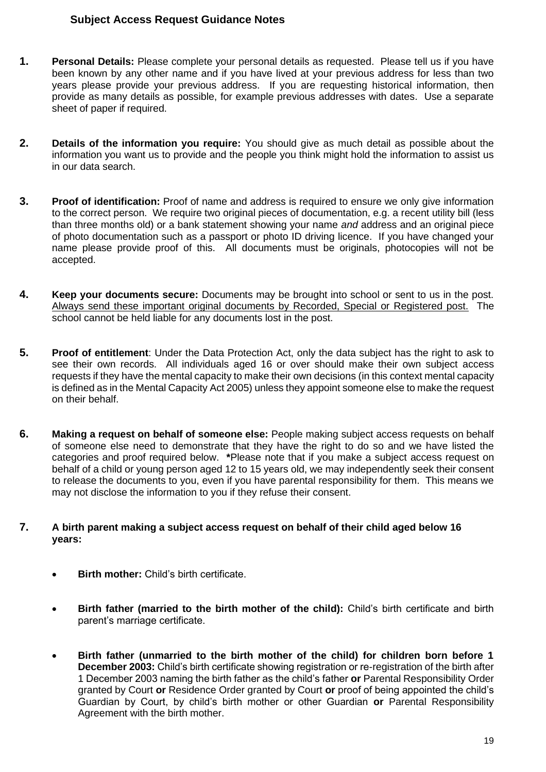#### **Subject Access Request Guidance Notes**

- **1. Personal Details:** Please complete your personal details as requested. Please tell us if you have been known by any other name and if you have lived at your previous address for less than two years please provide your previous address. If you are requesting historical information, then provide as many details as possible, for example previous addresses with dates. Use a separate sheet of paper if required.
- **2. Details of the information you require:** You should give as much detail as possible about the information you want us to provide and the people you think might hold the information to assist us in our data search.
- **3. Proof of identification:** Proof of name and address is required to ensure we only give information to the correct person. We require two original pieces of documentation, e.g. a recent utility bill (less than three months old) or a bank statement showing your name *and* address and an original piece of photo documentation such as a passport or photo ID driving licence. If you have changed your name please provide proof of this. All documents must be originals, photocopies will not be accepted.
- **4. Keep your documents secure:** Documents may be brought into school or sent to us in the post. Always send these important original documents by Recorded, Special or Registered post. The school cannot be held liable for any documents lost in the post.
- **5. Proof of entitlement**: Under the Data Protection Act, only the data subject has the right to ask to see their own records. All individuals aged 16 or over should make their own subject access requests if they have the mental capacity to make their own decisions (in this context mental capacity is defined as in the Mental Capacity Act 2005) unless they appoint someone else to make the request on their behalf.
- **6. Making a request on behalf of someone else:** People making subject access requests on behalf of someone else need to demonstrate that they have the right to do so and we have listed the categories and proof required below. **\***Please note that if you make a subject access request on behalf of a child or young person aged 12 to 15 years old, we may independently seek their consent to release the documents to you, even if you have parental responsibility for them. This means we may not disclose the information to you if they refuse their consent.
- **7. A birth parent making a subject access request on behalf of their child aged below 16 years:**
	- **Birth mother:** Child's birth certificate.
	- **Birth father (married to the birth mother of the child):** Child's birth certificate and birth parent's marriage certificate.
	- **Birth father (unmarried to the birth mother of the child) for children born before 1 December 2003:** Child's birth certificate showing registration or re-registration of the birth after 1 December 2003 naming the birth father as the child's father **or** Parental Responsibility Order granted by Court **or** Residence Order granted by Court **or** proof of being appointed the child's Guardian by Court, by child's birth mother or other Guardian **or** Parental Responsibility Agreement with the birth mother.